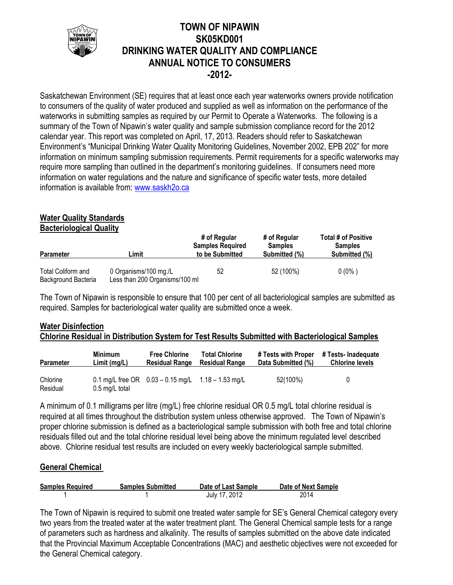

## **TOWN OF NIPAWIN SK05KD001 DRINKING WATER QUALITY AND COMPLIANCE ANNUAL NOTICE TO CONSUMERS -2012-**

Saskatchewan Environment (SE) requires that at least once each year waterworks owners provide notification to consumers of the quality of water produced and supplied as well as information on the performance of the waterworks in submitting samples as required by our Permit to Operate a Waterworks. The following is a summary of the Town of Nipawin's water quality and sample submission compliance record for the 2012 calendar year. This report was completed on April, 17, 2013. Readers should refer to Saskatchewan Environment's "Municipal Drinking Water Quality Monitoring Guidelines, November 2002, EPB 202" for more information on minimum sampling submission requirements. Permit requirements for a specific waterworks may require more sampling than outlined in the department's monitoring guidelines. If consumers need more information on water regulations and the nature and significance of specific water tests, more detailed information is available from: [www.saskh2o.ca](http://www.saskh2o.ca/)

# **Water Quality Standards**

**Bacteriological Quality**

| <b>Parameter</b>                          | ∟imit                                                   | # of Regular<br><b>Samples Required</b><br>to be Submitted | # of Regular<br><b>Samples</b><br>Submitted (%) | <b>Total # of Positive</b><br><b>Samples</b><br>Submitted (%) |  |
|-------------------------------------------|---------------------------------------------------------|------------------------------------------------------------|-------------------------------------------------|---------------------------------------------------------------|--|
| Total Coliform and<br>Background Bacteria | 0 Organisms/100 mg./L<br>Less than 200 Organisms/100 ml | 52                                                         | 52 (100%)                                       | $0(0\%)$                                                      |  |

The Town of Nipawin is responsible to ensure that 100 per cent of all bacteriological samples are submitted as required. Samples for bacteriological water quality are submitted once a week.

## **Water Disinfection Chlorine Residual in Distribution System for Test Results Submitted with Bacteriological Samples**

| <b>Parameter</b>     | <b>Minimum</b>           | <b>Free Chlorine</b>                                   | <b>Total Chlorine</b> | # Tests with Proper | # Tests- Inadequate    |
|----------------------|--------------------------|--------------------------------------------------------|-----------------------|---------------------|------------------------|
|                      | Limit (mg/L)             | <b>Residual Range</b>                                  | <b>Residual Range</b> | Data Submitted (%)  | <b>Chlorine levels</b> |
| Chlorine<br>Residual | $0.5 \text{ mg/L}$ total | 0.1 mg/L free OR $0.03 - 0.15$ mg/L $1.18 - 1.53$ mg/L |                       | 52(100%)            | 0                      |

A minimum of 0.1 milligrams per litre (mg/L) free chlorine residual OR 0.5 mg/L total chlorine residual is required at all times throughout the distribution system unless otherwise approved. The Town of Nipawin's proper chlorine submission is defined as a bacteriological sample submission with both free and total chlorine residuals filled out and the total chlorine residual level being above the minimum regulated level described above. Chlorine residual test results are included on every weekly bacteriological sample submitted.

## **General Chemical**

| <b>Samples Required</b> | <b>Samples Submitted</b> | Date of Last Sample | Date of Next Sample |
|-------------------------|--------------------------|---------------------|---------------------|
|                         |                          | July 17, 2012       | 2014                |

The Town of Nipawin is required to submit one treated water sample for SE's General Chemical category every two years from the treated water at the water treatment plant. The General Chemical sample tests for a range of parameters such as hardness and alkalinity. The results of samples submitted on the above date indicated that the Provincial Maximum Acceptable Concentrations (MAC) and aesthetic objectives were not exceeded for the General Chemical category.